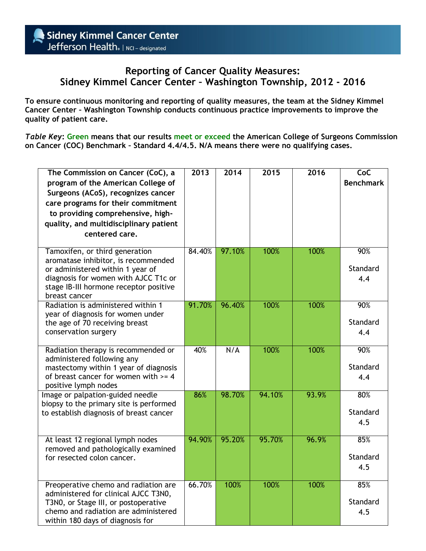## **Reporting of Cancer Quality Measures: Sidney Kimmel Cancer Center – Washington Township, 2012 - 2016**

**To ensure continuous monitoring and reporting of quality measures, the team at the Sidney Kimmel Cancer Center – Washington Township conducts continuous practice improvements to improve the quality of patient care.**

*Table Key***: Green means that our results meet or exceed the American College of Surgeons Commission on Cancer (COC) Benchmark – Standard 4.4/4.5. N/A means there were no qualifying cases.** 

| The Commission on Cancer (CoC), a<br>program of the American College of<br>Surgeons (ACoS), recognizes cancer<br>care programs for their commitment<br>to providing comprehensive, high-<br>quality, and multidisciplinary patient<br>centered care. | 2013   | 2014   | 2015   | 2016  | CoC<br><b>Benchmark</b> |
|------------------------------------------------------------------------------------------------------------------------------------------------------------------------------------------------------------------------------------------------------|--------|--------|--------|-------|-------------------------|
| Tamoxifen, or third generation<br>aromatase inhibitor, is recommended<br>or administered within 1 year of<br>diagnosis for women with AJCC T1c or<br>stage IB-III hormone receptor positive<br>breast cancer                                         | 84.40% | 97.10% | 100%   | 100%  | 90%<br>Standard<br>4.4  |
| Radiation is administered within 1<br>year of diagnosis for women under<br>the age of 70 receiving breast<br>conservation surgery                                                                                                                    | 91.70% | 96.40% | 100%   | 100%  | 90%<br>Standard<br>4.4  |
| Radiation therapy is recommended or<br>administered following any<br>mastectomy within 1 year of diagnosis<br>of breast cancer for women with $>= 4$<br>positive lymph nodes                                                                         | 40%    | N/A    | 100%   | 100%  | 90%<br>Standard<br>4.4  |
| Image or palpation-guided needle<br>biopsy to the primary site is performed<br>to establish diagnosis of breast cancer                                                                                                                               | 86%    | 98.70% | 94.10% | 93.9% | 80%<br>Standard<br>4.5  |
| At least 12 regional lymph nodes<br>removed and pathologically examined<br>for resected colon cancer.                                                                                                                                                | 94.90% | 95.20% | 95.70% | 96.9% | 85%<br>Standard<br>4.5  |
| Preoperative chemo and radiation are<br>administered for clinical AJCC T3N0,<br>T3N0, or Stage III, or postoperative<br>chemo and radiation are administered<br>within 180 days of diagnosis for                                                     | 66.70% | 100%   | 100%   | 100%  | 85%<br>Standard<br>4.5  |